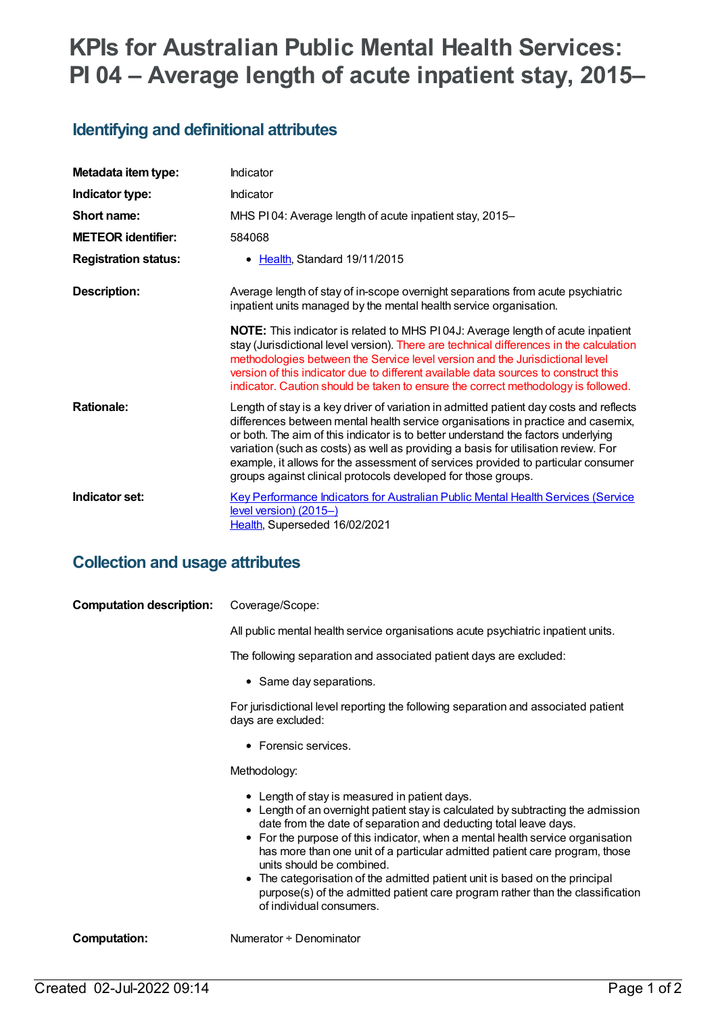# **KPIs for Australian Public Mental Health Services: PI 04 – Average length of acute inpatient stay, 2015–**

# **Identifying and definitional attributes**

| Metadata item type:         | Indicator                                                                                                                                                                                                                                                                                                                                                                                                                                                                                                   |
|-----------------------------|-------------------------------------------------------------------------------------------------------------------------------------------------------------------------------------------------------------------------------------------------------------------------------------------------------------------------------------------------------------------------------------------------------------------------------------------------------------------------------------------------------------|
| Indicator type:             | Indicator                                                                                                                                                                                                                                                                                                                                                                                                                                                                                                   |
| Short name:                 | MHS PI04: Average length of acute inpatient stay, 2015-                                                                                                                                                                                                                                                                                                                                                                                                                                                     |
| <b>METEOR</b> identifier:   | 584068                                                                                                                                                                                                                                                                                                                                                                                                                                                                                                      |
| <b>Registration status:</b> | • Health, Standard 19/11/2015                                                                                                                                                                                                                                                                                                                                                                                                                                                                               |
| Description:                | Average length of stay of in-scope overnight separations from acute psychiatric<br>inpatient units managed by the mental health service organisation.                                                                                                                                                                                                                                                                                                                                                       |
|                             | <b>NOTE:</b> This indicator is related to MHS P104J: Average length of acute inpatient<br>stay (Jurisdictional level version). There are technical differences in the calculation<br>methodologies between the Service level version and the Jurisdictional level<br>version of this indicator due to different available data sources to construct this<br>indicator. Caution should be taken to ensure the correct methodology is followed.                                                               |
| <b>Rationale:</b>           | Length of stay is a key driver of variation in admitted patient day costs and reflects<br>differences between mental health service organisations in practice and casemix,<br>or both. The aim of this indicator is to better understand the factors underlying<br>variation (such as costs) as well as providing a basis for utilisation review. For<br>example, it allows for the assessment of services provided to particular consumer<br>groups against clinical protocols developed for those groups. |
| Indicator set:              | Key Performance Indicators for Australian Public Mental Health Services (Service<br>level version) (2015-)<br>Health, Superseded 16/02/2021                                                                                                                                                                                                                                                                                                                                                                 |

### **Collection and usage attributes**

| <b>Computation description:</b> | Coverage/Scope:                                                                                                                                                                                                                                                                                                                                                                                                                                                                                                                                                                                  |
|---------------------------------|--------------------------------------------------------------------------------------------------------------------------------------------------------------------------------------------------------------------------------------------------------------------------------------------------------------------------------------------------------------------------------------------------------------------------------------------------------------------------------------------------------------------------------------------------------------------------------------------------|
|                                 | All public mental health service organisations acute psychiatric inpatient units.                                                                                                                                                                                                                                                                                                                                                                                                                                                                                                                |
|                                 | The following separation and associated patient days are excluded:                                                                                                                                                                                                                                                                                                                                                                                                                                                                                                                               |
|                                 | • Same day separations.                                                                                                                                                                                                                                                                                                                                                                                                                                                                                                                                                                          |
|                                 | For jurisdictional level reporting the following separation and associated patient<br>days are excluded:                                                                                                                                                                                                                                                                                                                                                                                                                                                                                         |
|                                 | • Forensic services.                                                                                                                                                                                                                                                                                                                                                                                                                                                                                                                                                                             |
|                                 | Methodology:                                                                                                                                                                                                                                                                                                                                                                                                                                                                                                                                                                                     |
|                                 | • Length of stay is measured in patient days.<br>• Length of an overnight patient stay is calculated by subtracting the admission<br>date from the date of separation and deducting total leave days.<br>• For the purpose of this indicator, when a mental health service organisation<br>has more than one unit of a particular admitted patient care program, those<br>units should be combined.<br>• The categorisation of the admitted patient unit is based on the principal<br>purpose(s) of the admitted patient care program rather than the classification<br>of individual consumers. |
| Computation:                    | Numerator + Denominator                                                                                                                                                                                                                                                                                                                                                                                                                                                                                                                                                                          |